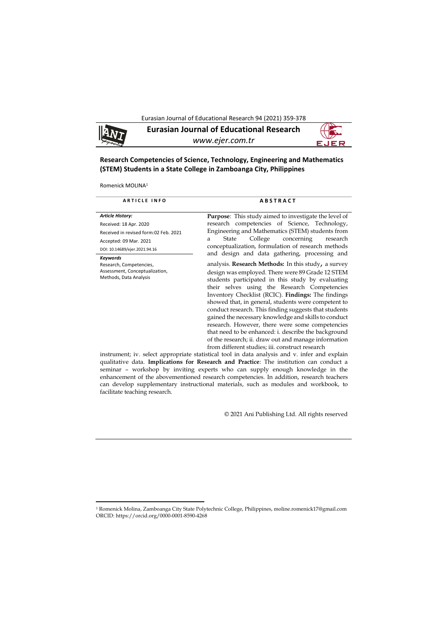Eurasian Journal of Educational Research 94 (2021) 359-378



# **Research Competencies of Science, Technology, Engineering and Mathematics (STEM) Students in a State College in Zamboanga City, Philippines**

Romenick MOLINA<sup>1</sup>

1

| <b>ARTICLE INFO</b>                                                                             | <b>ABSTRACT</b>                                                                                                                                                                                                                                                                                                                                                                                                                                                                                                                                                                                                                                                                |
|-------------------------------------------------------------------------------------------------|--------------------------------------------------------------------------------------------------------------------------------------------------------------------------------------------------------------------------------------------------------------------------------------------------------------------------------------------------------------------------------------------------------------------------------------------------------------------------------------------------------------------------------------------------------------------------------------------------------------------------------------------------------------------------------|
| <b>Article History:</b>                                                                         | <b>Purpose:</b> This study aimed to investigate the level of                                                                                                                                                                                                                                                                                                                                                                                                                                                                                                                                                                                                                   |
| Received: 18 Apr. 2020                                                                          | research competencies of Science, Technology,                                                                                                                                                                                                                                                                                                                                                                                                                                                                                                                                                                                                                                  |
| Received in revised form:02 Feb. 2021                                                           | Engineering and Mathematics (STEM) students from                                                                                                                                                                                                                                                                                                                                                                                                                                                                                                                                                                                                                               |
| Accepted: 09 Mar. 2021                                                                          | College<br>concerning<br>research<br>State<br>a                                                                                                                                                                                                                                                                                                                                                                                                                                                                                                                                                                                                                                |
| DOI: 10.14689/ejer.2021.94.16                                                                   | conceptualization, formulation of research methods<br>and design and data gathering, processing and                                                                                                                                                                                                                                                                                                                                                                                                                                                                                                                                                                            |
| Keywords<br>Research, Competencies,<br>Assessment, Conceptualization,<br>Methods, Data Analysis | analysis. <b>Research Methods:</b> In this study, a survey<br>design was employed. There were 89 Grade 12 STEM<br>students participated in this study by evaluating<br>their selves using the Research Competencies<br>Inventory Checklist (RCIC). <b>Findings:</b> The findings<br>showed that, in general, students were competent to<br>conduct research. This finding suggests that students<br>gained the necessary knowledge and skills to conduct<br>research. However, there were some competencies<br>that need to be enhanced: i. describe the background<br>of the research; ii. draw out and manage information<br>from different studies; iii. construct research |
|                                                                                                 | instrument; iv. select appropriate statistical tool in data analysis and v. infer and explain                                                                                                                                                                                                                                                                                                                                                                                                                                                                                                                                                                                  |

qualitative data. **Implications for Research and Practice**: The institution can conduct a seminar – workshop by inviting experts who can supply enough knowledge in the enhancement of the abovementioned research competencies. In addition, research teachers can develop supplementary instructional materials, such as modules and workbook, to facilitate teaching research.

© 2021 Ani Publishing Ltd. All rights reserved

<sup>1</sup> Romenick Molina, Zamboanga City State Polytechnic College, Philippines, moline.romenick17@gmail.com ORCID: https://orcid.org/0000-0001-8590-4268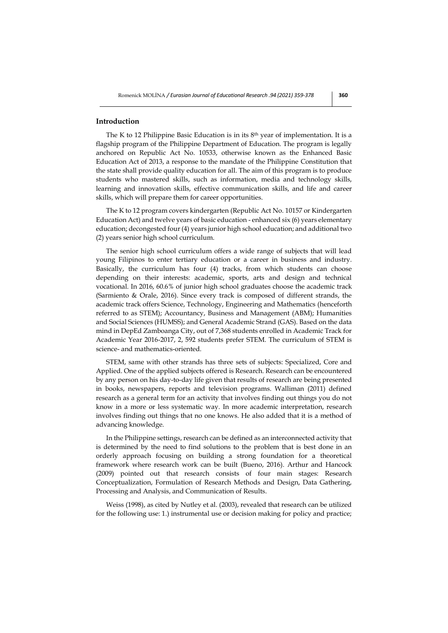## **Introduction**

The K to 12 Philippine Basic Education is in its 8th year of implementation. It is a flagship program of the Philippine Department of Education. The program is legally anchored on Republic Act No. 10533, otherwise known as the Enhanced Basic Education Act of 2013, a response to the mandate of the Philippine Constitution that the state shall provide quality education for all. The aim of this program is to produce students who mastered skills, such as information, media and technology skills, learning and innovation skills, effective communication skills, and life and career skills, which will prepare them for career opportunities.

The K to 12 program covers kindergarten (Republic Act No. 10157 or Kindergarten Education Act) and twelve years of basic education - enhanced six (6) years elementary education; decongested four (4) years junior high school education; and additional two (2) years senior high school curriculum.

The senior high school curriculum offers a wide range of subjects that will lead young Filipinos to enter tertiary education or a career in business and industry. Basically, the curriculum has four (4) tracks, from which students can choose depending on their interests: academic, sports, arts and design and technical vocational. In 2016, 60.6% of junior high school graduates choose the academic track (Sarmiento & Orale, 2016). Since every track is composed of different strands, the academic track offers Science, Technology, Engineering and Mathematics (henceforth referred to as STEM); Accountancy, Business and Management (ABM); Humanities and Social Sciences (HUMSS); and General Academic Strand (GAS). Based on the data mind in DepEd Zamboanga City, out of 7,368 students enrolled in Academic Track for Academic Year 2016-2017, 2, 592 students prefer STEM. The curriculum of STEM is science- and mathematics-oriented.

STEM, same with other strands has three sets of subjects: Specialized, Core and Applied. One of the applied subjects offered is Research. Research can be encountered by any person on his day-to-day life given that results of research are being presented in books, newspapers, reports and television programs. Walliman (2011) defined research as a general term for an activity that involves finding out things you do not know in a more or less systematic way. In more academic interpretation, research involves finding out things that no one knows. He also added that it is a method of advancing knowledge.

In the Philippine settings, research can be defined as an interconnected activity that is determined by the need to find solutions to the problem that is best done in an orderly approach focusing on building a strong foundation for a theoretical framework where research work can be built (Bueno, 2016). Arthur and Hancock (2009) pointed out that research consists of four main stages: Research Conceptualization, Formulation of Research Methods and Design, Data Gathering, Processing and Analysis, and Communication of Results.

Weiss (1998), as cited by Nutley et al. (2003), revealed that research can be utilized for the following use: 1.) instrumental use or decision making for policy and practice;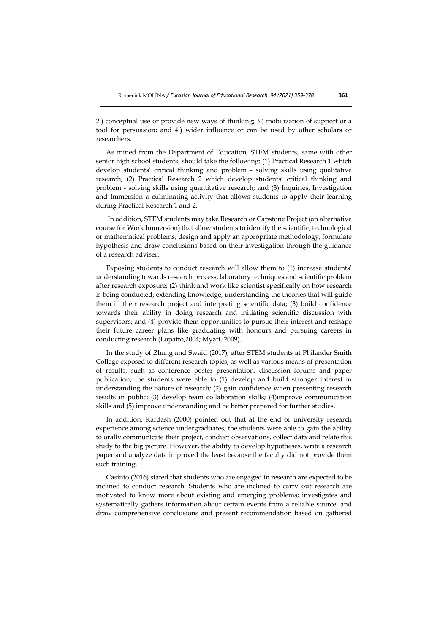2.) conceptual use or provide new ways of thinking; 3.) mobilization of support or a tool for persuasion; and 4.) wider influence or can be used by other scholars or researchers.

As mined from the Department of Education, STEM students, same with other senior high school students, should take the following: (1) Practical Research 1 which develop students' critical thinking and problem - solving skills using qualitative research; (2) Practical Research 2 which develop students' critical thinking and problem - solving skills using quantitative research; and (3) Inquiries, Investigation and Immersion a culminating activity that allows students to apply their learning during Practical Research 1 and 2.

In addition, STEM students may take Research or Capstone Project (an alternative course for Work Immersion) that allow students to identify the scientific, technological or mathematical problems, design and apply an appropriate methodology, formulate hypothesis and draw conclusions based on their investigation through the guidance of a research adviser.

Exposing students to conduct research will allow them to (1) increase students' understanding towards research process, laboratory techniques and scientific problem after research exposure; (2) think and work like scientist specifically on how research is being conducted, extending knowledge, understanding the theories that will guide them in their research project and interpreting scientific data; (3) build confidence towards their ability in doing research and initiating scientific discussion with supervisors; and (4) provide them opportunities to pursue their interest and reshape their future career plans like graduating with honours and pursuing careers in conducting research (Lopatto,2004; Myatt, 2009).

In the study of Zhang and Swaid (2017), after STEM students at Philander Smith College exposed to different research topics, as well as various means of presentation of results, such as conference poster presentation, discussion forums and paper publication, the students were able to (1) develop and build stronger interest in understanding the nature of research; (2) gain confidence when presenting research results in public; (3) develop team collaboration skills; (4)improve communication skills and (5) improve understanding and be better prepared for further studies.

In addition, Kardash (2000) pointed out that at the end of university research experience among science undergraduates, the students were able to gain the ability to orally communicate their project, conduct observations, collect data and relate this study to the big picture. However, the ability to develop hypotheses, write a research paper and analyze data improved the least because the faculty did not provide them such training.

Casinto (2016) stated that students who are engaged in research are expected to be inclined to conduct research. Students who are inclined to carry out research are motivated to know more about existing and emerging problems; investigates and systematically gathers information about certain events from a reliable source, and draw comprehensive conclusions and present recommendation based on gathered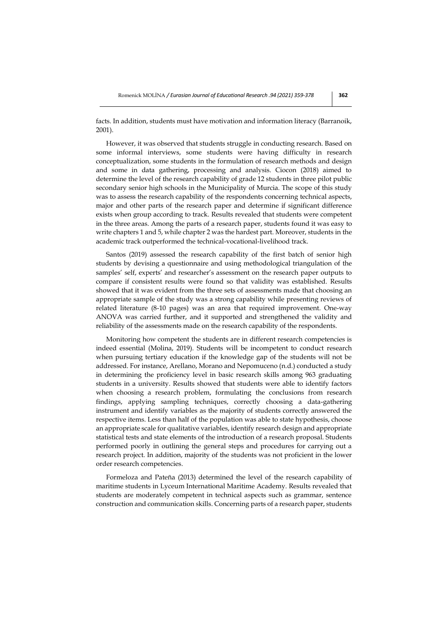facts. In addition, students must have motivation and information literacy (Barranoik, 2001).

However, it was observed that students struggle in conducting research. Based on some informal interviews, some students were having difficulty in research conceptualization, some students in the formulation of research methods and design and some in data gathering, processing and analysis. Ciocon (2018) aimed to determine the level of the research capability of grade 12 students in three pilot public secondary senior high schools in the Municipality of Murcia. The scope of this study was to assess the research capability of the respondents concerning technical aspects, major and other parts of the research paper and determine if significant difference exists when group according to track. Results revealed that students were competent in the three areas. Among the parts of a research paper, students found it was easy to write chapters 1 and 5, while chapter 2 was the hardest part. Moreover, students in the academic track outperformed the technical-vocational-livelihood track.

Santos (2019) assessed the research capability of the first batch of senior high students by devising a questionnaire and using methodological triangulation of the samples' self, experts' and researcher's assessment on the research paper outputs to compare if consistent results were found so that validity was established. Results showed that it was evident from the three sets of assessments made that choosing an appropriate sample of the study was a strong capability while presenting reviews of related literature (8-10 pages) was an area that required improvement. One-way ANOVA was carried further, and it supported and strengthened the validity and reliability of the assessments made on the research capability of the respondents.

Monitoring how competent the students are in different research competencies is indeed essential (Molina, 2019). Students will be incompetent to conduct research when pursuing tertiary education if the knowledge gap of the students will not be addressed. For instance, Arellano, Morano and Nepomuceno (n.d.) conducted a study in determining the proficiency level in basic research skills among 963 graduating students in a university. Results showed that students were able to identify factors when choosing a research problem, formulating the conclusions from research findings, applying sampling techniques, correctly choosing a data-gathering instrument and identify variables as the majority of students correctly answered the respective items. Less than half of the population was able to state hypothesis, choose an appropriate scale for qualitative variables, identify research design and appropriate statistical tests and state elements of the introduction of a research proposal. Students performed poorly in outlining the general steps and procedures for carrying out a research project. In addition, majority of the students was not proficient in the lower order research competencies.

Formeloza and Pateña (2013) determined the level of the research capability of maritime students in Lyceum International Maritime Academy. Results revealed that students are moderately competent in technical aspects such as grammar, sentence construction and communication skills. Concerning parts of a research paper, students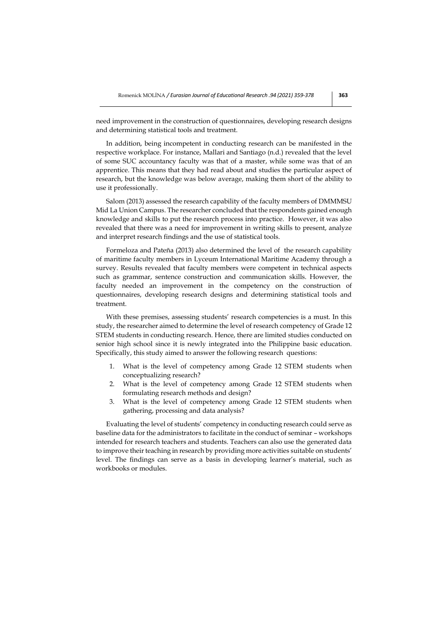need improvement in the construction of questionnaires, developing research designs and determining statistical tools and treatment.

In addition, being incompetent in conducting research can be manifested in the respective workplace. For instance, Mallari and Santiago (n.d.) revealed that the level of some SUC accountancy faculty was that of a master, while some was that of an apprentice. This means that they had read about and studies the particular aspect of research, but the knowledge was below average, making them short of the ability to use it professionally.

Salom (2013) assessed the research capability of the faculty members of DMMMSU Mid La Union Campus. The researcher concluded that the respondents gained enough knowledge and skills to put the research process into practice. However, it was also revealed that there was a need for improvement in writing skills to present, analyze and interpret research findings and the use of statistical tools.

Formeloza and Pateña (2013) also determined the level of the research capability of maritime faculty members in Lyceum International Maritime Academy through a survey. Results revealed that faculty members were competent in technical aspects such as grammar, sentence construction and communication skills. However, the faculty needed an improvement in the competency on the construction of questionnaires, developing research designs and determining statistical tools and treatment.

With these premises, assessing students' research competencies is a must. In this study, the researcher aimed to determine the level of research competency of Grade 12 STEM students in conducting research. Hence, there are limited studies conducted on senior high school since it is newly integrated into the Philippine basic education. Specifically, this study aimed to answer the following research questions:

- 1. What is the level of competency among Grade 12 STEM students when conceptualizing research?
- 2. What is the level of competency among Grade 12 STEM students when formulating research methods and design?
- 3. What is the level of competency among Grade 12 STEM students when gathering, processing and data analysis?

Evaluating the level of students' competency in conducting research could serve as baseline data for the administrators to facilitate in the conduct of seminar – workshops intended for research teachers and students. Teachers can also use the generated data to improve their teaching in research by providing more activities suitable on students' level. The findings can serve as a basis in developing learner's material, such as workbooks or modules.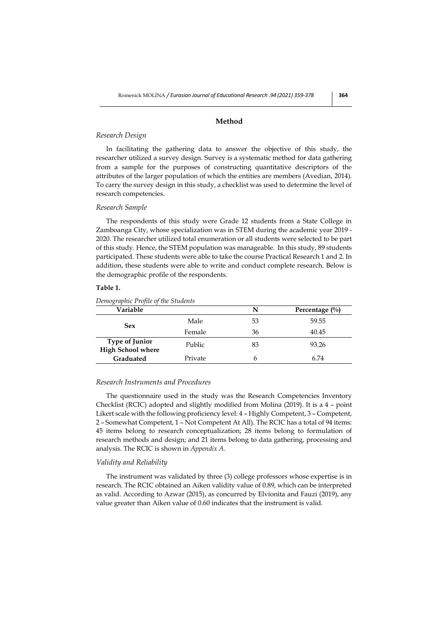## **Method**

# *Research Design*

In facilitating the gathering data to answer the objective of this study, the researcher utilized a survey design. Survey is a systematic method for data gathering from a sample for the purposes of constructing quantitative descriptors of the attributes of the larger population of which the entities are members (Avedian, 2014). To carry the survey design in this study, a checklist was used to determine the level of research competencies.

#### *Research Sample*

The respondents of this study were Grade 12 students from a State College in Zamboanga City, whose specialization was in STEM during the academic year 2019 - 2020. The researcher utilized total enumeration or all students were selected to be part of this study. Hence, the STEM population was manageable. In this study, 89 students participated. These students were able to take the course Practical Research 1 and 2. In addition, these students were able to write and conduct complete research. Below is the demographic profile of the respondents.

#### **Table 1.**

## *Demographic Profile of the Students*

| Variable                                          |         | N  | Percentage $(\%$ |
|---------------------------------------------------|---------|----|------------------|
| <b>Sex</b>                                        | Male    | 53 | 59.55            |
|                                                   | Female  | 36 | 40.45            |
| <b>Type of Junior</b><br><b>High School where</b> | Public  | 83 | 93.26            |
| Graduated                                         | Private | h  | 6.74             |

#### *Research Instruments and Procedures*

The questionnaire used in the study was the Research Competencies Inventory Checklist (RCIC) adopted and slightly modified from Molina (2019). It is a 4 – point Likert scale with the following proficiency level: 4 – Highly Competent, 3 – Competent, 2 – Somewhat Competent, 1 – Not Competent At All). The RCIC has a total of 94 items: 45 items belong to research conceptualization; 28 items belong to formulation of research methods and design; and 21 items belong to data gathering, processing and analysis. The RCIC is shown in *Appendix A*.

#### *Validity and Reliability*

The instrument was validated by three (3) college professors whose expertise is in research. The RCIC obtained an Aiken validity value of 0.89, which can be interpreted as valid. According to Azwar (2015), as concurred by Elvionita and Fauzi (2019), any value greater than Aiken value of 0.60 indicates that the instrument is valid.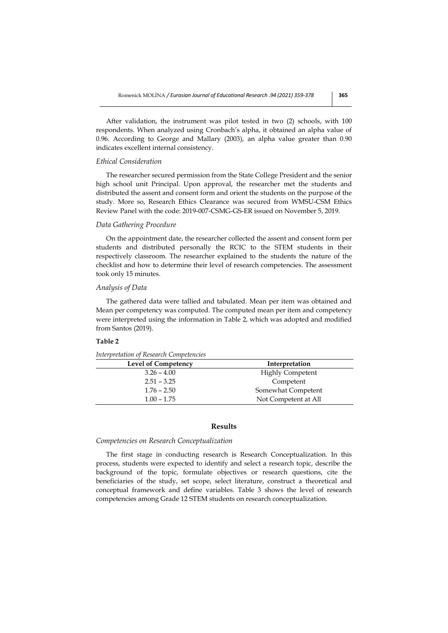After validation, the instrument was pilot tested in two (2) schools, with 100 respondents. When analyzed using Cronbach's alpha, it obtained an alpha value of 0.96. According to George and Mallary (2003), an alpha value greater than 0.90 indicates excellent internal consistency.

## *Ethical Consideration*

The researcher secured permission from the State College President and the senior high school unit Principal. Upon approval, the researcher met the students and distributed the assent and consent form and orient the students on the purpose of the study. More so, Research Ethics Clearance was secured from WMSU-CSM Ethics Review Panel with the code: 2019-007-CSMG-GS-ER issued on November 5, 2019.

## *Data Gathering Procedure*

On the appointment date, the researcher collected the assent and consent form per students and distributed personally the RCIC to the STEM students in their respectively classroom. The researcher explained to the students the nature of the checklist and how to determine their level of research competencies. The assessment took only 15 minutes.

#### *Analysis of Data*

The gathered data were tallied and tabulated. Mean per item was obtained and Mean per competency was computed. The computed mean per item and competency were interpreted using the information in Table 2, which was adopted and modified from Santos (2019).

## **Table 2**

| Interpretation of Research Competencies |  |
|-----------------------------------------|--|
|                                         |  |

| <b>Level of Competency</b> | Interpretation          |
|----------------------------|-------------------------|
| $3.26 - 4.00$              | <b>Highly Competent</b> |
| $2.51 - 3.25$              | Competent               |
| $1.76 - 2.50$              | Somewhat Competent      |
| $1.00 - 1.75$              | Not Competent at All    |

## **Results**

## *Competencies on Research Conceptualization*

The first stage in conducting research is Research Conceptualization. In this process, students were expected to identify and select a research topic, describe the background of the topic, formulate objectives or research questions, cite the beneficiaries of the study, set scope, select literature, construct a theoretical and conceptual framework and define variables. Table 3 shows the level of research competencies among Grade 12 STEM students on research conceptualization.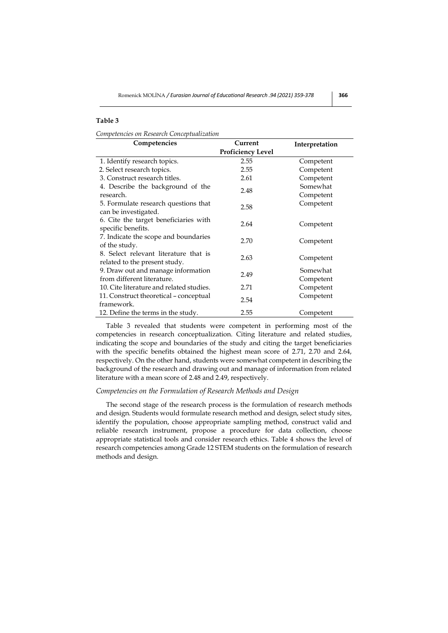# **Table 3**

*Competencies on Research Conceptualization*

| Competencies<br>Current                  |                          | Interpretation |
|------------------------------------------|--------------------------|----------------|
|                                          | <b>Proficiency Level</b> |                |
| 1. Identify research topics.             | 2.55                     | Competent      |
| 2. Select research topics.               | 2.55                     | Competent      |
| 3. Construct research titles.            | 2.61                     | Competent      |
| 4. Describe the background of the        | 2.48                     | Somewhat       |
| research.                                |                          | Competent      |
| 5. Formulate research questions that     | 2.58                     | Competent      |
| can be investigated.                     |                          |                |
| 6. Cite the target beneficiaries with    | 2.64                     | Competent      |
| specific benefits.                       |                          |                |
| 7. Indicate the scope and boundaries     | 2.70                     | Competent      |
| of the study.                            |                          |                |
| 8. Select relevant literature that is    | 2.63                     | Competent      |
| related to the present study.            |                          |                |
| 9. Draw out and manage information       | 2.49                     | Somewhat       |
| from different literature.               |                          | Competent      |
| 10. Cite literature and related studies. | 2.71                     | Competent      |
| 11. Construct theoretical - conceptual   | 2.54                     | Competent      |
| framework.                               |                          |                |
| 12. Define the terms in the study.       | 2.55                     | Competent      |

Table 3 revealed that students were competent in performing most of the competencies in research conceptualization. Citing literature and related studies, indicating the scope and boundaries of the study and citing the target beneficiaries with the specific benefits obtained the highest mean score of 2.71, 2.70 and 2.64, respectively. On the other hand, students were somewhat competent in describing the background of the research and drawing out and manage of information from related literature with a mean score of 2.48 and 2.49, respectively.

#### *Competencies on the Formulation of Research Methods and Design*

The second stage of the research process is the formulation of research methods and design. Students would formulate research method and design, select study sites, identify the population, choose appropriate sampling method, construct valid and reliable research instrument, propose a procedure for data collection, choose appropriate statistical tools and consider research ethics. Table 4 shows the level of research competencies among Grade 12 STEM students on the formulation of research methods and design.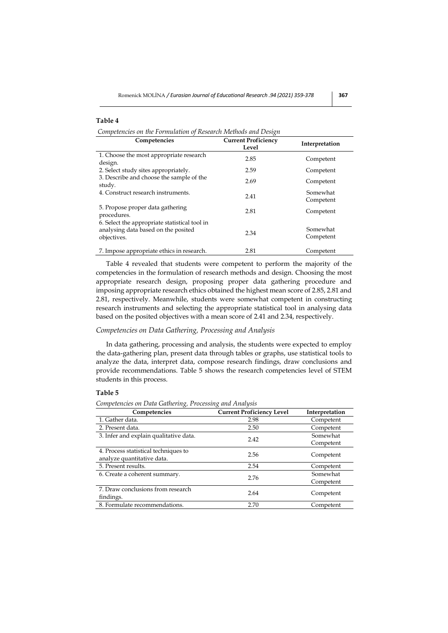## **Table 4**

*Competencies on the Formulation of Research Methods and Design*

| Competencies                                                                                        | <b>Current Proficiency</b><br>Level | Interpretation        |
|-----------------------------------------------------------------------------------------------------|-------------------------------------|-----------------------|
| 1. Choose the most appropriate research<br>design.                                                  | 2.85                                | Competent             |
| 2. Select study sites appropriately.                                                                | 2.59                                | Competent             |
| 3. Describe and choose the sample of the<br>study.                                                  | 2.69                                | Competent             |
| 4. Construct research instruments.                                                                  | 2.41                                | Somewhat<br>Competent |
| 5. Propose proper data gathering<br>procedures.                                                     | 2.81                                | Competent             |
| 6. Select the appropriate statistical tool in<br>analysing data based on the posited<br>objectives. | 2.34                                | Somewhat<br>Competent |
| 7. Impose appropriate ethics in research.                                                           | 2.81                                | Competent             |

Table 4 revealed that students were competent to perform the majority of the competencies in the formulation of research methods and design. Choosing the most appropriate research design, proposing proper data gathering procedure and imposing appropriate research ethics obtained the highest mean score of 2.85, 2.81 and 2.81, respectively. Meanwhile, students were somewhat competent in constructing research instruments and selecting the appropriate statistical tool in analysing data based on the posited objectives with a mean score of 2.41 and 2.34, respectively.

#### *Competencies on Data Gathering, Processing and Analysis*

In data gathering, processing and analysis, the students were expected to employ the data-gathering plan, present data through tables or graphs, use statistical tools to analyze the data, interpret data, compose research findings, draw conclusions and provide recommendations. Table 5 shows the research competencies level of STEM students in this process.

# **Table 5**

*Competencies on Data Gathering, Processing and Analysis*

| Competencies                           | <b>Current Proficiency Level</b> | Interpretation |
|----------------------------------------|----------------------------------|----------------|
| 1. Gather data.                        | 2.98                             | Competent      |
| 2. Present data.                       | 2.50                             | Competent      |
| 3. Infer and explain qualitative data. | 2.42                             | Somewhat       |
|                                        |                                  | Competent      |
| 4. Process statistical techniques to   | 2.56                             | Competent      |
| analyze quantitative data.             |                                  |                |
| 5. Present results.                    | 2.54                             | Competent      |
| 6. Create a coherent summary.          | 2.76                             | Somewhat       |
|                                        |                                  | Competent      |
| 7. Draw conclusions from research      | 2.64                             | Competent      |
| findings.                              |                                  |                |
| 8. Formulate recommendations.          | 2.70                             | Competent      |
|                                        |                                  |                |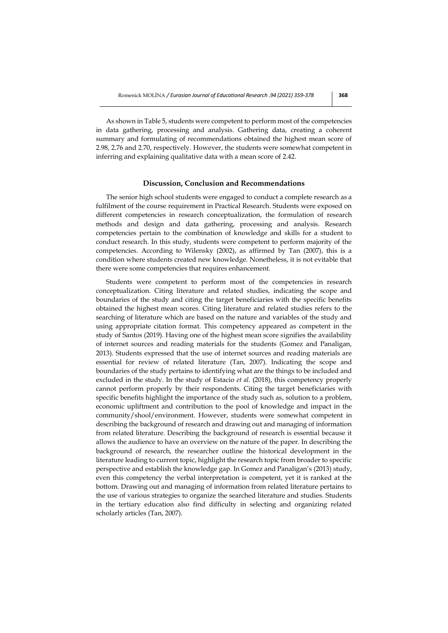As shown in Table 5, students were competent to perform most of the competencies in data gathering, processing and analysis. Gathering data, creating a coherent summary and formulating of recommendations obtained the highest mean score of 2.98, 2.76 and 2.70, respectively. However, the students were somewhat competent in inferring and explaining qualitative data with a mean score of 2.42.

#### **Discussion, Conclusion and Recommendations**

The senior high school students were engaged to conduct a complete research as a fulfilment of the course requirement in Practical Research. Students were exposed on different competencies in research conceptualization, the formulation of research methods and design and data gathering, processing and analysis. Research competencies pertain to the combination of knowledge and skills for a student to conduct research. In this study, students were competent to perform majority of the competencies. According to Wilensky (2002), as affirmed by Tan (2007), this is a condition where students created new knowledge. Nonetheless, it is not evitable that there were some competencies that requires enhancement.

Students were competent to perform most of the competencies in research conceptualization. Citing literature and related studies, indicating the scope and boundaries of the study and citing the target beneficiaries with the specific benefits obtained the highest mean scores. Citing literature and related studies refers to the searching of literature which are based on the nature and variables of the study and using appropriate citation format. This competency appeared as competent in the study of Santos (2019). Having one of the highest mean score signifies the availability of internet sources and reading materials for the students (Gomez and Panaligan, 2013). Students expressed that the use of internet sources and reading materials are essential for review of related literature (Tan, 2007). Indicating the scope and boundaries of the study pertains to identifying what are the things to be included and excluded in the study. In the study of Estacio *et al*. (2018), this competency properly cannot perform properly by their respondents. Citing the target beneficiaries with specific benefits highlight the importance of the study such as, solution to a problem, economic upliftment and contribution to the pool of knowledge and impact in the community/shool/environment. However, students were somewhat competent in describing the background of research and drawing out and managing of information from related literature. Describing the background of research is essential because it allows the audience to have an overview on the nature of the paper. In describing the background of research, the researcher outline the historical development in the literature leading to current topic, highlight the research topic from broader to specific perspective and establish the knowledge gap. In Gomez and Panaligan's (2013) study, even this competency the verbal interpretation is competent, yet it is ranked at the bottom. Drawing out and managing of information from related literature pertains to the use of various strategies to organize the searched literature and studies. Students in the tertiary education also find difficulty in selecting and organizing related scholarly articles (Tan, 2007).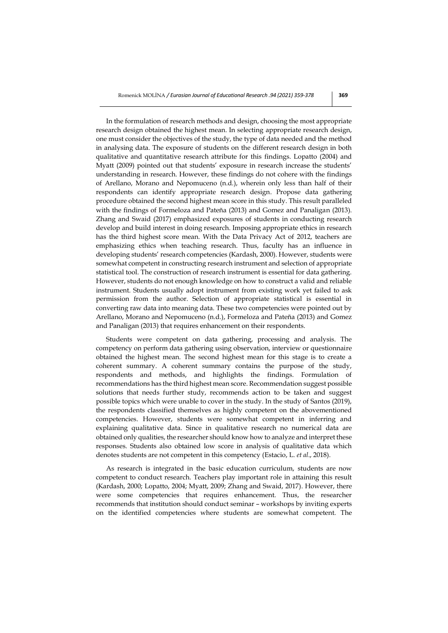In the formulation of research methods and design, choosing the most appropriate research design obtained the highest mean. In selecting appropriate research design, one must consider the objectives of the study, the type of data needed and the method in analysing data. The exposure of students on the different research design in both qualitative and quantitative research attribute for this findings. Lopatto (2004) and Myatt (2009) pointed out that students' exposure in research increase the students' understanding in research. However, these findings do not cohere with the findings of Arellano, Morano and Nepomuceno (n.d.), wherein only less than half of their respondents can identify appropriate research design. Propose data gathering procedure obtained the second highest mean score in this study. This result paralleled with the findings of Formeloza and Pateña (2013) and Gomez and Panaligan (2013). Zhang and Swaid (2017) emphasized exposures of students in conducting research develop and build interest in doing research. Imposing appropriate ethics in research has the third highest score mean. With the Data Privacy Act of 2012, teachers are emphasizing ethics when teaching research. Thus, faculty has an influence in developing students' research competencies (Kardash, 2000). However, students were somewhat competent in constructing research instrument and selection of appropriate statistical tool. The construction of research instrument is essential for data gathering. However, students do not enough knowledge on how to construct a valid and reliable instrument. Students usually adopt instrument from existing work yet failed to ask permission from the author. Selection of appropriate statistical is essential in converting raw data into meaning data. These two competencies were pointed out by Arellano, Morano and Nepomuceno (n.d.), Formeloza and Pateña (2013) and Gomez and Panaligan (2013) that requires enhancement on their respondents.

Students were competent on data gathering, processing and analysis. The competency on perform data gathering using observation, interview or questionnaire obtained the highest mean. The second highest mean for this stage is to create a coherent summary. A coherent summary contains the purpose of the study, respondents and methods, and highlights the findings. Formulation of recommendations has the third highest mean score. Recommendation suggest possible solutions that needs further study, recommends action to be taken and suggest possible topics which were unable to cover in the study. In the study of Santos (2019), the respondents classified themselves as highly competent on the abovementioned competencies. However, students were somewhat competent in inferring and explaining qualitative data. Since in qualitative research no numerical data are obtained only qualities, the researcher should know how to analyze and interpret these responses. Students also obtained low score in analysis of qualitative data which denotes students are not competent in this competency (Estacio, L. *et al*., 2018).

As research is integrated in the basic education curriculum, students are now competent to conduct research. Teachers play important role in attaining this result (Kardash, 2000; Lopatto, 2004; Myatt, 2009; Zhang and Swaid, 2017). However, there were some competencies that requires enhancement. Thus, the researcher recommends that institution should conduct seminar – workshops by inviting experts on the identified competencies where students are somewhat competent. The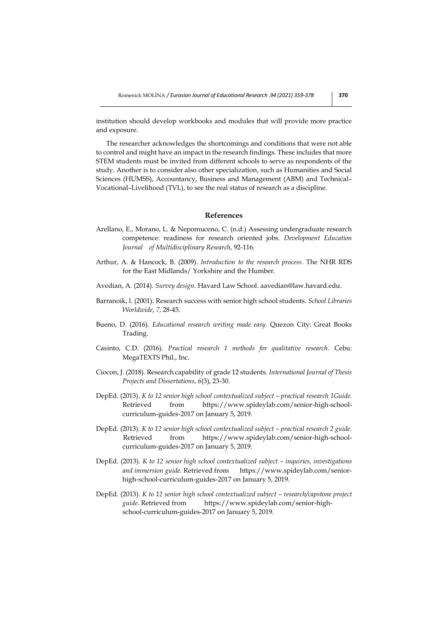institution should develop workbooks and modules that will provide more practice and exposure.

The researcher acknowledges the shortcomings and conditions that were not able to control and might have an impact in the research findings. These includes that more STEM students must be invited from different schools to serve as respondents of the study. Another is to consider also other specialization, such as Humanities and Social Sciences (HUMSS), Accountancy, Business and Management (ABM) and Technical– Vocational–Livelihood (TVL), to see the real status of research as a discipline.

### **References**

- Arellano, E., Morano, L. & Nepomuceno, C. (n.d.) Assessing undergraduate research competence: readiness for research oriented jobs. *Development Education Journal of Multidisciplinary Research*, 92-116.
- Arthur, A. & Hancock, B. (2009). *Introduction to the research process.* The NHR RDS for the East Midlands/ Yorkshire and the Humber.
- Avedian, A. (2014). *Survey design*. Havard Law School. aavedian@law.havard.edu.
- Barranoik, l. (2001). Research success with senior high school students. *School Libraries Worldwide*, *7*, 28-45.
- Bueno, D. (2016). *Educational research writing made easy.* Quezon City: Great Books Trading.
- Casinto, C.D. (2016). *Practical research 1 methods for qualitative research*. Cebu: MegaTEXTS Phil., Inc.
- Ciocon, J. (2018). Research capability of grade 12 students. *International Journal of Thesis Projects and Dissertations*, *6*(3), 23-30.
- DepEd. (2013). *K to 12 senior high school contextualized subject – practical research 1Guide.* Retrieved from https://www.spideylab.com/senior-high-schoolcurriculum-guides-2017 on January 5, 2019.
- DepEd. (2013). *K to 12 senior high school contextualized subject – practical research 2 guide.* Retrieved from https://www.spideylab.com/senior-high-schoolcurriculum-guides-2017 on January 5, 2019.
- DepEd. (2013). *K* to 12 senior high school contextualized subject *inquiries, investigations and immersion guide.* Retrieved from https://www.spideylab.com/seniorhigh-school-curriculum-guides-2017 on January 5, 2019.
- DepEd. (2013). *K to 12 senior high school contextualized subject research/capstone project guide*. Retrieved from https://www.spideylab.com/senior-highschool-curriculum-guides-2017 on January 5, 2019.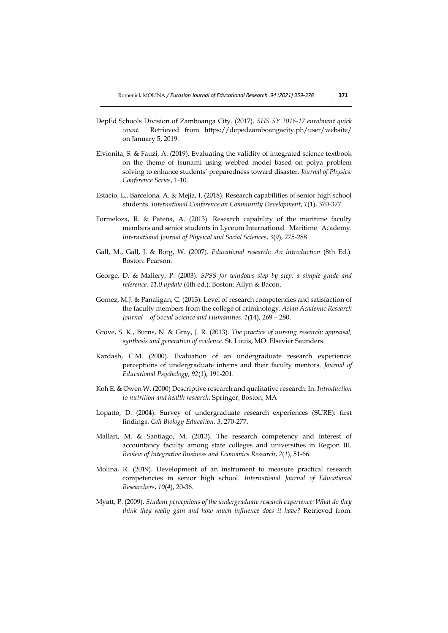- DepEd Schools Division of Zamboanga City. (2017). *SHS SY 2016-17 enrolment quick count.* Retrieved from https://depedzamboangacity.ph/user/website/ on January 5, 2019.
- Elvionita, S. & Fauzi, A. (2019). Evaluating the validity of integrated science textbook on the theme of tsunami using webbed model based on polya problem solving to enhance students' preparedness toward disaster. *Journal of Physics: Conference Series*, 1-10.
- Estacio, L., Barcelona, A. & Mejia, I. (2018). Research capabilities of senior high school students. *International Conference on Community Development*, *1*(1), 370-377.
- Formeloza, R. & Pateña, A. (2013). Research capability of the maritime faculty members and senior students in Lyceum International Maritime Academy. *International Journal of Physical and Social Sciences*, *3*(9), 275-288
- Gall, M., Gall, J. & Borg, W. (2007). *Educational research: An introduction* (8th Ed.). Boston: Pearson.
- George, D. & Mallery, P. (2003). *SPSS for windows step by step: a simple guide and reference. 11.0 update* (4th ed.). Boston: Allyn & Bacon.
- Gomez, M.J. & Panaligan, C. (2013). Level of research competencies and satisfaction of the faculty members from the college of criminology. *Asian Academic Research Journal of Social Science and Humanities*. *1*(14), 269 – 280.
- Grove, S. K., Burns, N. & Gray, J. R. (2013). *The practice of nursing research: appraisal, synthesis and generation of evidence.* St. Louis, MO: Elsevier Saunders.
- Kardash, C.M. (2000). Evaluation of an undergraduate research experience: perceptions of undergraduate interns and their faculty mentors. *Journal of Educational Psychology*, *92*(1), 191-201.
- Koh E. & Owen W. (2000) Descriptive research and qualitative research. In: *Introduction to nutrition and health research*. Springer, Boston, MA
- Lopatto, D. (2004). Survey of undergraduate research experiences (SURE): first findings. *Cell Biology Education*, *3*, 270-277.
- Mallari, M. & Santiago, M. (2013). The research competency and interest of accountancy faculty among state colleges and universities in Region III. *Review of Integrative Business and Economics Research*, *2*(*1*), 51-66.
- Molina, R. (2019). Development of an instrument to measure practical research competencies in senior high school. *International Journal of Educational Researchers*, *10*(*4*), 20-36.
- Myatt, P. (2009). *Student perceptions of the undergraduate research experience: What do they think they really gain and how much influence does it have?* Retrieved from: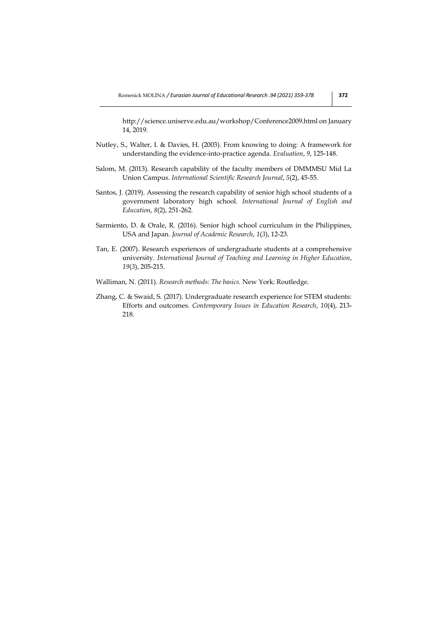http://science.uniserve.edu.au/workshop/Conference2009.html on January 14, 2019.

- Nutley, S., Walter, I. & Davies, H. (2003). From knowing to doing: A framework for understanding the evidence-into-practice agenda. *Evaluation*, *9*, 125-148.
- Salom, M. (2013). Research capability of the faculty members of DMMMSU Mid La Union Campus. *International Scientific Research Journal*, *5*(2), 45-55.
- Santos, J. (2019). Assessing the research capability of senior high school students of a government laboratory high school. *International Journal of English and Education*, *8*(2), 251-262.
- Sarmiento, D. & Orale, R. (2016). Senior high school curriculum in the Philippines, USA and Japan. *Journal of Academic Research*, *1*(*3*), 12-23.
- Tan, E. (2007). Research experiences of undergraduate students at a comprehensive university. *International Journal of Teaching and Learning in Higher Education*, *19*(*3*), 205-215.
- Walliman, N. (2011). *Research methods: The basics.* New York: Routledge.
- Zhang, C. & Swaid, S. (2017). Undergraduate research experience for STEM students: Efforts and outcomes. *Contemporary Issues in Education Research*, *10*(4), 213- 218.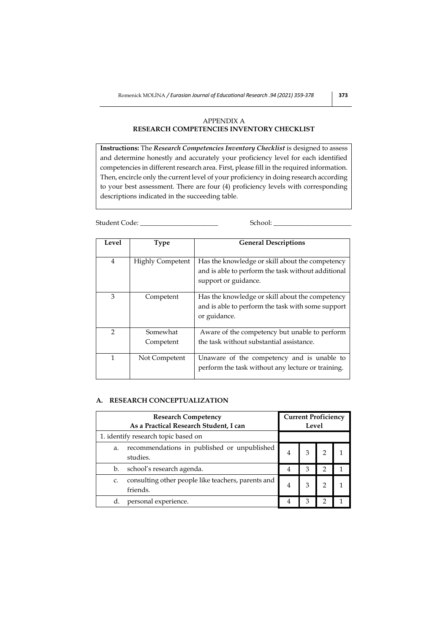# APPENDIX A **RESEARCH COMPETENCIES INVENTORY CHECKLIST**

**Instructions:** The *Research Competencies Inventory Checklist* is designed to assess and determine honestly and accurately your proficiency level for each identified competencies in different research area. First, please fill in the required information. Then, encircle only the current level of your proficiency in doing research according to your best assessment. There are four (4) proficiency levels with corresponding descriptions indicated in the succeeding table.

Student Code: \_\_\_\_\_\_\_\_\_\_\_\_\_\_\_\_\_\_\_\_\_\_\_ School: \_\_\_\_\_\_\_\_\_\_\_\_\_\_\_\_\_\_\_\_\_\_\_

| Level          | <b>Type</b>             | <b>General Descriptions</b>                                                                                                   |
|----------------|-------------------------|-------------------------------------------------------------------------------------------------------------------------------|
| $\overline{4}$ | <b>Highly Competent</b> | Has the knowledge or skill about the competency<br>and is able to perform the task without additional<br>support or guidance. |
| 3              | Competent               | Has the knowledge or skill about the competency<br>and is able to perform the task with some support<br>or guidance.          |
| $\mathcal{P}$  | Somewhat<br>Competent   | Aware of the competency but unable to perform<br>the task without substantial assistance.                                     |
| 1              | Not Competent           | Unaware of the competency and is unable to<br>perform the task without any lecture or training.                               |

# **A. RESEARCH CONCEPTUALIZATION**

| <b>Research Competency</b><br>As a Practical Research Student, I can |                                                                | <b>Current Proficiency</b><br>Level |   |  |  |
|----------------------------------------------------------------------|----------------------------------------------------------------|-------------------------------------|---|--|--|
|                                                                      | 1. identify research topic based on                            |                                     |   |  |  |
| a.                                                                   | recommendations in published or unpublished<br>studies.        | 4                                   | 3 |  |  |
| b.                                                                   | school's research agenda.                                      | 4                                   | 3 |  |  |
| c.                                                                   | consulting other people like teachers, parents and<br>friends. | 4                                   |   |  |  |
| d.                                                                   | personal experience.                                           |                                     | З |  |  |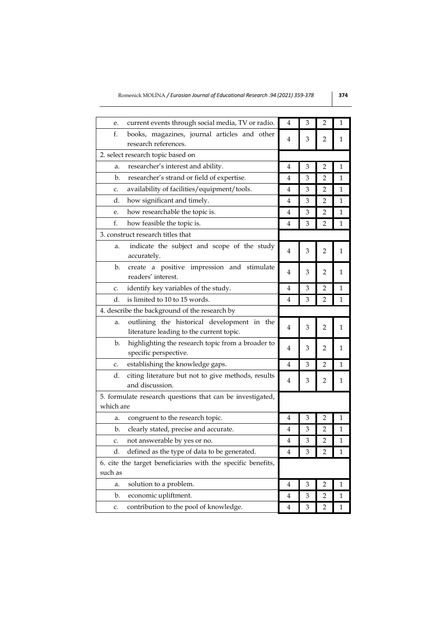| current events through social media, TV or radio.<br>е.                                       | 4 | 3 | 2              | 1            |
|-----------------------------------------------------------------------------------------------|---|---|----------------|--------------|
| f.<br>books, magazines, journal articles and other<br>research references.                    | 4 | 3 | $\overline{2}$ | 1            |
| 2. select research topic based on                                                             |   |   |                |              |
| researcher's interest and ability.<br>a.                                                      | 4 | 3 | 2              | 1            |
| researcher's strand or field of expertise.<br>b.                                              | 4 | 3 | 2              | 1            |
| availability of facilities/equipment/tools.<br>c.                                             | 4 | 3 | 2              | $\mathbf 1$  |
| d.<br>how significant and timely.                                                             | 4 | 3 | 2              | 1            |
| how researchable the topic is.<br>e.                                                          | 4 | 3 | 2              | $\mathbf 1$  |
| f.<br>how feasible the topic is.                                                              | 4 | 3 | 2              | $\mathbf 1$  |
| 3. construct research titles that                                                             |   |   |                |              |
| indicate the subject and scope of the study<br>a.<br>accurately.                              | 4 | 3 | $\overline{2}$ | 1            |
| create a positive impression and stimulate<br>b.<br>readers' interest.                        | 4 | 3 | 2              | 1            |
| identify key variables of the study.<br>c.                                                    | 4 | 3 | $\overline{2}$ | $\mathbf{1}$ |
| d.<br>is limited to 10 to 15 words.                                                           | 4 | 3 | 2              | 1            |
| 4. describe the background of the research by                                                 |   |   |                |              |
| outlining the historical development in the<br>a.<br>literature leading to the current topic. | 4 | 3 | 2              | 1            |
| highlighting the research topic from a broader to<br>b.<br>specific perspective.              | 4 | 3 | 2              | $\mathbf 1$  |
| establishing the knowledge gaps.<br>c.                                                        | 4 | 3 | $\overline{2}$ | $\mathbf 1$  |
| d.<br>citing literature but not to give methods, results<br>and discussion.                   | 4 | 3 | 2              | 1            |
| 5. formulate research questions that can be investigated,<br>which are                        |   |   |                |              |
| congruent to the research topic.<br>a.                                                        | 4 | 3 | $\overline{2}$ | 1            |
| b.<br>clearly stated, precise and accurate.                                                   | 4 | 3 | 2              | 1            |
| not answerable by yes or no.<br>c.                                                            | 4 | 3 | 2              | 1            |
| d.<br>defined as the type of data to be generated.                                            | 4 | 3 | 2              | $\mathbf{1}$ |
| 6. cite the target beneficiaries with the specific benefits,<br>such as                       |   |   |                |              |
| solution to a problem.<br>a.                                                                  | 4 | 3 | 2              | 1            |
| b.<br>economic upliftment.                                                                    | 4 | 3 | 2              | 1            |
| contribution to the pool of knowledge.<br>c.                                                  | 4 | 3 | 2              | 1            |
|                                                                                               |   |   |                |              |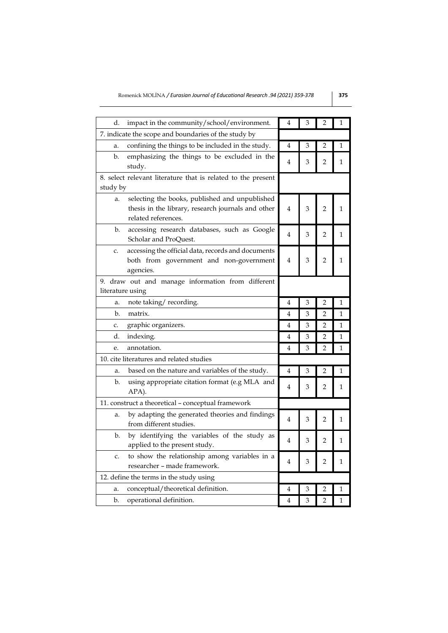| d.<br>impact in the community/school/environment.                                                                                 | 4              | 3 | 2              | 1            |
|-----------------------------------------------------------------------------------------------------------------------------------|----------------|---|----------------|--------------|
| 7. indicate the scope and boundaries of the study by                                                                              |                |   |                |              |
| confining the things to be included in the study.<br>a.                                                                           | 4              | 3 | 2              | 1            |
| emphasizing the things to be excluded in the<br>b.<br>study.                                                                      | 4              | 3 | 2              | 1            |
| 8. select relevant literature that is related to the present                                                                      |                |   |                |              |
| study by                                                                                                                          |                |   |                |              |
| selecting the books, published and unpublished<br>a.<br>thesis in the library, research journals and other<br>related references. | $\overline{4}$ | 3 | $\overline{2}$ | $\mathbf 1$  |
| b.<br>accessing research databases, such as Google<br>Scholar and ProQuest.                                                       | $\overline{4}$ | 3 | 2              | 1            |
| accessing the official data, records and documents<br>c.<br>both from government and non-government<br>agencies.                  | 4              | 3 | 2              | 1            |
| 9. draw out and manage information from different<br>literature using                                                             |                |   |                |              |
| note taking/recording.<br>a.                                                                                                      | 4              | 3 | $\overline{2}$ | 1            |
| b.<br>matrix.                                                                                                                     | 4              | 3 | $\overline{2}$ | 1            |
| graphic organizers.<br>c.                                                                                                         | 4              | 3 | 2              | 1            |
| d.<br>indexing.                                                                                                                   | 4              | 3 | $\overline{2}$ | $\mathbf 1$  |
| annotation.<br>e.                                                                                                                 | 4              | 3 | $\overline{2}$ | 1            |
| 10. cite literatures and related studies                                                                                          |                |   |                |              |
| based on the nature and variables of the study.<br>a.                                                                             | 4              | 3 | 2              | 1            |
| b.<br>using appropriate citation format (e.g MLA and<br>APA).                                                                     | 4              | 3 | 2              | 1            |
| 11. construct a theoretical - conceptual framework                                                                                |                |   |                |              |
| by adapting the generated theories and findings<br>a.<br>from different studies.                                                  | 4              | 3 | 2              | 1            |
| by identifying the variables of the study as<br>b.<br>applied to the present study.                                               | 4              | 3 | 2              | $\mathbf{1}$ |
| to show the relationship among variables in a<br>c.<br>researcher – made framework.                                               | 4              | 3 | 2              | 1            |
| 12. define the terms in the study using                                                                                           |                |   |                |              |
| conceptual/theoretical definition.<br>a.                                                                                          | 4              | 3 | 2              | 1            |
| b.<br>operational definition.                                                                                                     | 4              | 3 | $\overline{2}$ | $\mathbf 1$  |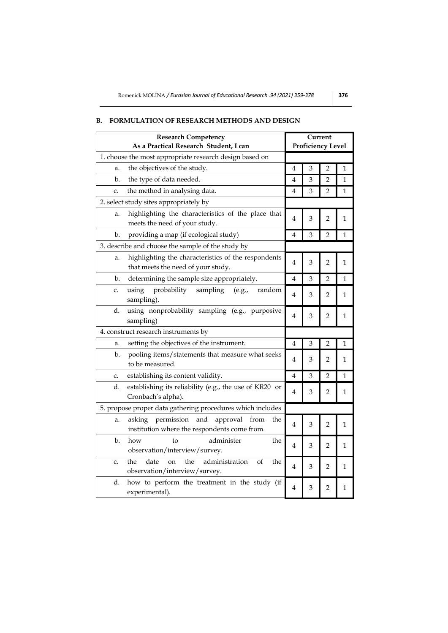# **Research Competency As a Practical Research Student, I can Current Proficiency Level** 1. choose the most appropriate research design based on a. the objectives of the study.  $\begin{array}{|c|c|c|c|c|c|}\n\hline\n4 & 3 & 2 & 1\n\end{array}$ b. the type of data needed. 4 3 2 1 c. the method in analysing data.  $\begin{array}{|c|c|c|c|c|}\n\hline\n4 & 3 & 2 & 1\n\end{array}$ 2. select study sites appropriately by a. highlighting the characteristics of the place that meets the need of your study. b. providing a map (if ecological study)  $\begin{array}{|c|c|c|c|c|c|}\n\hline\n4 & 3 & 2 & 1\n\end{array}$ 3. describe and choose the sample of the study by a. highlighting the characteristics of the respondents that meets the need of your study.  $\begin{bmatrix} 4 & 3 & 2 & 1 \end{bmatrix}$ b. determining the sample size appropriately.  $\begin{array}{|c|c|c|c|c|c|}\n\hline\n\text{4} & \text{3} & \text{2} & \text{1} \\
\hline\n\end{array}$ c. using probability sampling (e.g., random sampling). <sup>4</sup> <sup>3</sup> <sup>2</sup> <sup>1</sup> d. using nonprobability sampling (e.g., purposive  $\begin{array}{|c|c|c|c|c|}\n 4 & 3 & 2 & 1\n \end{array}$ 4. construct research instruments by a. setting the objectives of the instrument.  $\boxed{4}$   $\boxed{3}$   $\boxed{2}$   $\boxed{1}$ b. pooling items/statements that measure what seeks pooling nems/statements that measure what seeks  $\begin{bmatrix} 4 & 3 & 2 & 1 \end{bmatrix}$ c. establishing its content validity.  $\begin{array}{|c|c|c|c|c|c|}\n\hline\n4 & 3 & 2 & 1\n\end{array}$ d. establishing its reliability (e.g., the use of KR20 or Cronbach's alpha).  $\begin{bmatrix} 1 & 3 & 2 & 1 \\ 4 & 3 & 2 & 1 \\ 1 & 2 & 1 & 2 \end{bmatrix}$ 5. propose proper data gathering procedures which includes a. asking permission and approval from the  $\left[4\right]$  3  $\left[2\right]$  1 b. how to administer the observation/interview/survey. 4 3 2 1 c. the date on the administration of the observation/interview/survey. 4 3 2 1 d. how to perform the treatment in the study (if experimental).  $\begin{bmatrix} 4 & 3 & 2 & 1 \end{bmatrix}$

# **B. FORMULATION OF RESEARCH METHODS AND DESIGN**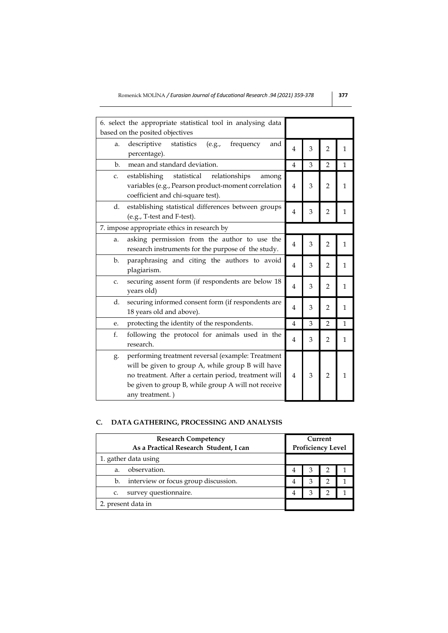| 6. select the appropriate statistical tool in analysing data   |                |   |                |              |
|----------------------------------------------------------------|----------------|---|----------------|--------------|
| based on the posited objectives                                |                |   |                |              |
| descriptive<br>statistics<br>frequency<br>and<br>(e.g.,<br>a.  |                |   |                |              |
| percentage).                                                   | 4              | 3 | $\overline{2}$ | $\mathbf{1}$ |
| mean and standard deviation.<br>b.                             | 4              | 3 | $\overline{2}$ | $\mathbf 1$  |
| establishing<br>statistical<br>relationships<br>C.<br>among    |                |   |                |              |
| variables (e.g., Pearson product-moment correlation            | $\overline{4}$ | 3 | $\overline{2}$ | 1            |
| coefficient and chi-square test).                              |                |   |                |              |
| d.<br>establishing statistical differences between groups      |                |   |                |              |
| (e.g., T-test and F-test).                                     | $\overline{4}$ | 3 | $\overline{2}$ | 1            |
| 7. impose appropriate ethics in research by                    |                |   |                |              |
| asking permission from the author to use the<br>a.             | $\overline{4}$ |   |                |              |
| research instruments for the purpose of the study.             |                | 3 | $\overline{2}$ | 1            |
| $\mathbf{b}$ .<br>paraphrasing and citing the authors to avoid | $\overline{4}$ |   |                |              |
| plagiarism.                                                    |                | 3 | $\overline{2}$ | 1            |
| securing assent form (if respondents are below 18<br>c.        |                | 3 |                | $\mathbf{1}$ |
| years old)                                                     | 4              |   | $\overline{2}$ |              |
| securing informed consent form (if respondents are<br>d.       | 4              | 3 | $\overline{2}$ | $\mathbf{1}$ |
| 18 years old and above).                                       |                |   |                |              |
| protecting the identity of the respondents.<br>e.              | 4              | 3 | $\overline{2}$ | 1            |
| f.<br>following the protocol for animals used in the           | 4              | 3 | $\overline{2}$ | $\mathbf{1}$ |
| research.                                                      |                |   |                |              |
| performing treatment reversal (example: Treatment<br>g.        |                |   |                |              |
| will be given to group A, while group B will have              |                |   |                |              |
| no treatment. After a certain period, treatment will           | 4              | 3 | $\overline{2}$ | 1            |
| be given to group B, while group A will not receive            |                |   |                |              |
| any treatment.)                                                |                |   |                |              |

# **C. DATA GATHERING, PROCESSING AND ANALYSIS**

| <b>Research Competency</b><br>As a Practical Research Student, I can | Current<br><b>Proficiency Level</b> |   |                |  |
|----------------------------------------------------------------------|-------------------------------------|---|----------------|--|
| 1. gather data using                                                 |                                     |   |                |  |
| observation.<br>a.                                                   |                                     | 3 | $\overline{2}$ |  |
| interview or focus group discussion.<br>b.                           |                                     | 3 |                |  |
| survey questionnaire.<br>c.                                          |                                     | З | っ              |  |
| 2. present data in                                                   |                                     |   |                |  |